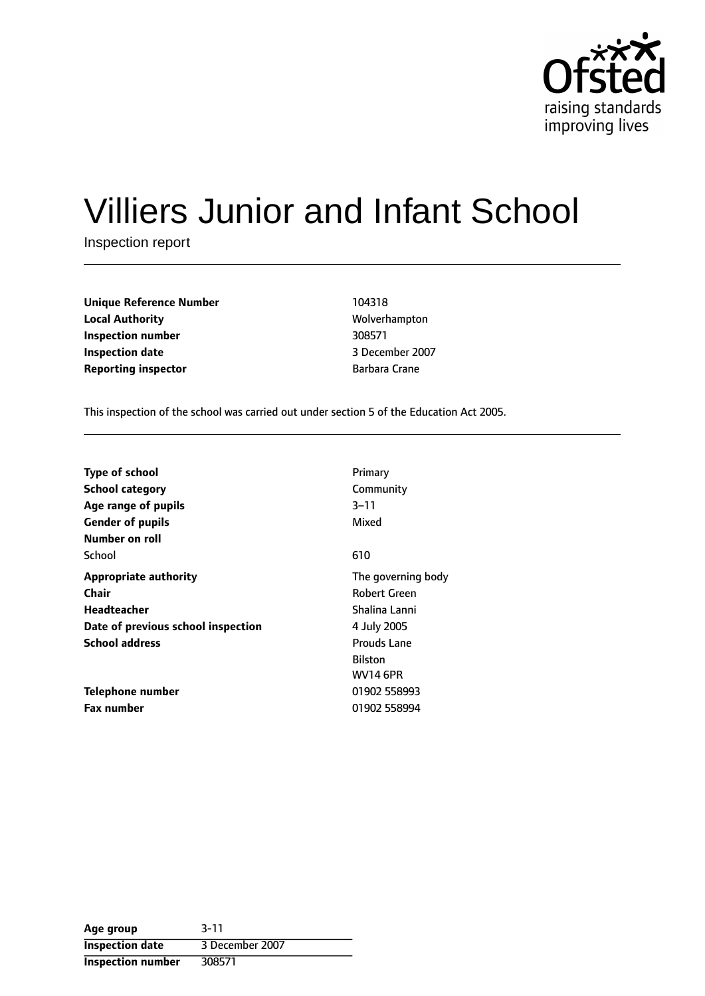

# Villiers Junior and Infant School

Inspection report

| <b>Unique Reference Number</b> | 104318               |
|--------------------------------|----------------------|
| <b>Local Authority</b>         | Wolverhampto         |
| Inspection number              | 308571               |
| <b>Inspection date</b>         | 3 December 20        |
| <b>Reporting inspector</b>     | <b>Barbara Crane</b> |

**Unique Reference Number** 104318 **Local Authority** Wolverhampton **Inspection number** 308571 **Inspection date** 3 December 2007

This inspection of the school was carried out under section 5 of the Education Act 2005.

| <b>Type of school</b><br><b>School category</b> | Primary<br>Community |
|-------------------------------------------------|----------------------|
| Age range of pupils                             | $3 - 11$             |
| <b>Gender of pupils</b>                         | Mixed                |
| <b>Number on roll</b>                           |                      |
| School                                          | 610                  |
| <b>Appropriate authority</b>                    | The governing body   |
| Chair                                           | <b>Robert Green</b>  |
| Headteacher                                     | Shalina Lanni        |
| Date of previous school inspection              | 4 July 2005          |
| <b>School address</b>                           | Prouds Lane          |
|                                                 | <b>Bilston</b>       |
|                                                 | <b>WV14 6PR</b>      |
| Telephone number                                | 01902 558993         |
| <b>Fax number</b>                               | 01902 558994         |

| Age group                | $3 - 11$        |
|--------------------------|-----------------|
| <b>Inspection date</b>   | 3 December 2007 |
| <b>Inspection number</b> | 308571          |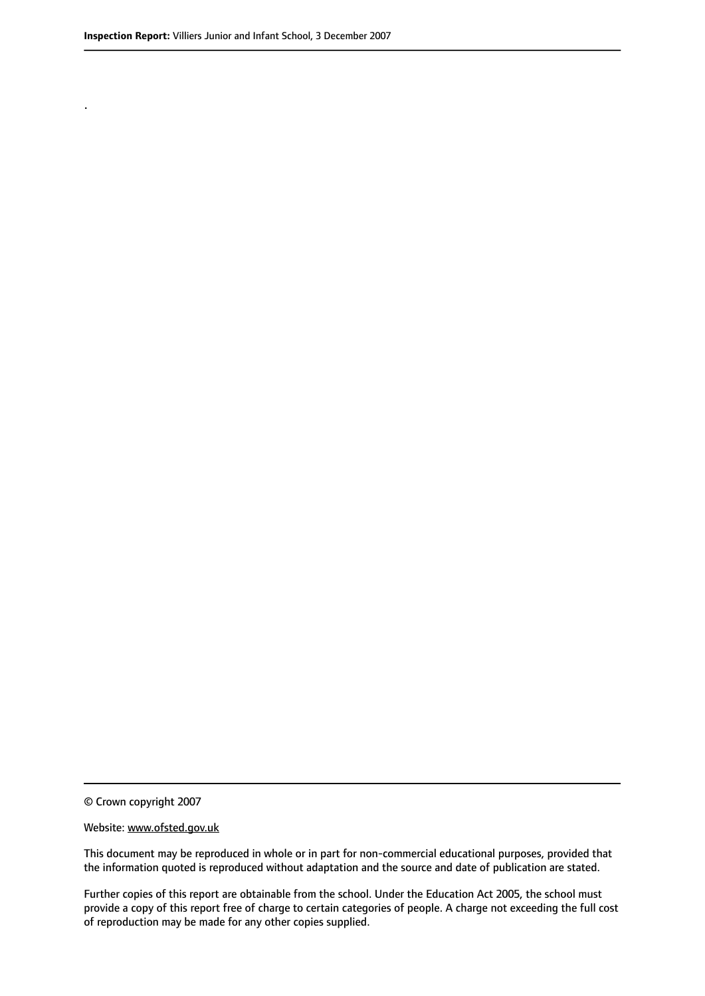.

© Crown copyright 2007

#### Website: www.ofsted.gov.uk

This document may be reproduced in whole or in part for non-commercial educational purposes, provided that the information quoted is reproduced without adaptation and the source and date of publication are stated.

Further copies of this report are obtainable from the school. Under the Education Act 2005, the school must provide a copy of this report free of charge to certain categories of people. A charge not exceeding the full cost of reproduction may be made for any other copies supplied.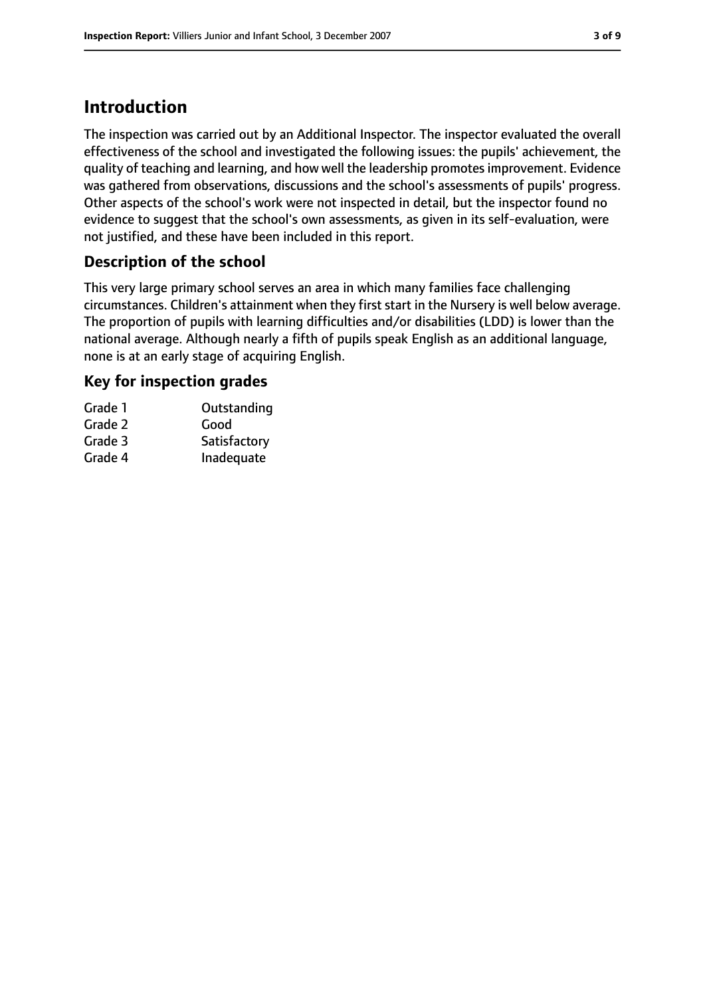# **Introduction**

The inspection was carried out by an Additional Inspector. The inspector evaluated the overall effectiveness of the school and investigated the following issues: the pupils' achievement, the quality of teaching and learning, and how well the leadership promotes improvement. Evidence was gathered from observations, discussions and the school's assessments of pupils' progress. Other aspects of the school's work were not inspected in detail, but the inspector found no evidence to suggest that the school's own assessments, as given in its self-evaluation, were not justified, and these have been included in this report.

# **Description of the school**

This very large primary school serves an area in which many families face challenging circumstances. Children's attainment when they first start in the Nursery is well below average. The proportion of pupils with learning difficulties and/or disabilities (LDD) is lower than the national average. Although nearly a fifth of pupils speak English as an additional language, none is at an early stage of acquiring English.

# **Key for inspection grades**

| Grade 1 | Outstanding  |
|---------|--------------|
| Grade 2 | Good         |
| Grade 3 | Satisfactory |
| Grade 4 | Inadequate   |
|         |              |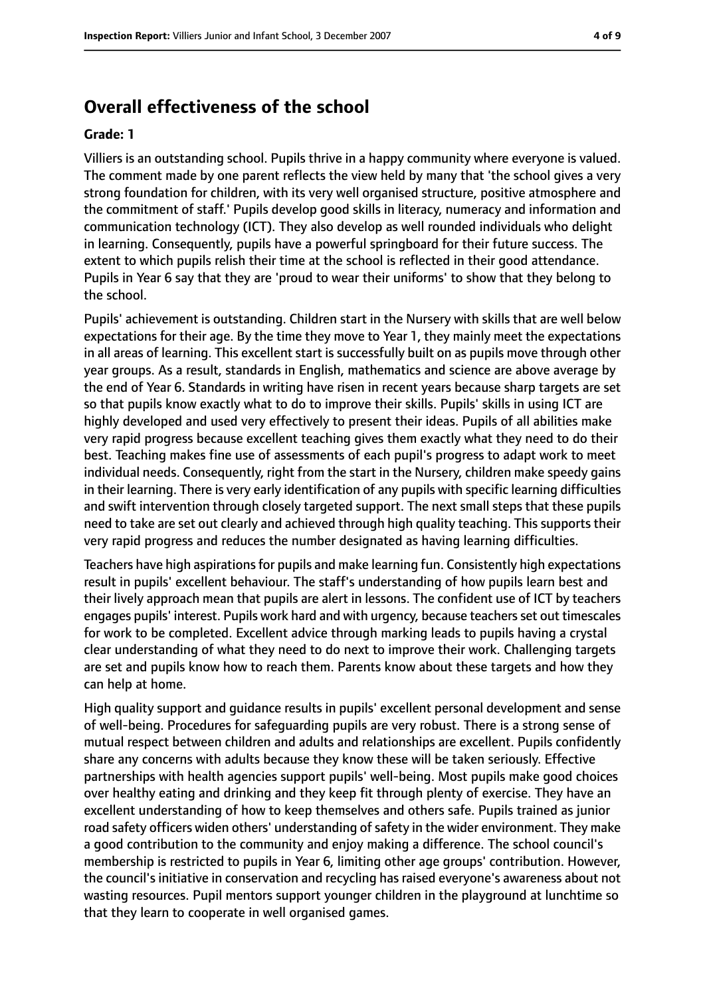# **Overall effectiveness of the school**

#### **Grade: 1**

Villiers is an outstanding school. Pupils thrive in a happy community where everyone is valued. The comment made by one parent reflects the view held by many that 'the school gives a very strong foundation for children, with its very well organised structure, positive atmosphere and the commitment of staff.' Pupils develop good skills in literacy, numeracy and information and communication technology (ICT). They also develop as well rounded individuals who delight in learning. Consequently, pupils have a powerful springboard for their future success. The extent to which pupils relish their time at the school is reflected in their good attendance. Pupils in Year 6 say that they are 'proud to wear their uniforms' to show that they belong to the school.

Pupils' achievement is outstanding. Children start in the Nursery with skills that are well below expectations for their age. By the time they move to Year 1, they mainly meet the expectations in all areas of learning. This excellent start is successfully built on as pupils move through other year groups. As a result, standards in English, mathematics and science are above average by the end of Year 6. Standards in writing have risen in recent years because sharp targets are set so that pupils know exactly what to do to improve their skills. Pupils' skills in using ICT are highly developed and used very effectively to present their ideas. Pupils of all abilities make very rapid progress because excellent teaching gives them exactly what they need to do their best. Teaching makes fine use of assessments of each pupil's progress to adapt work to meet individual needs. Consequently, right from the start in the Nursery, children make speedy gains in their learning. There is very early identification of any pupils with specific learning difficulties and swift intervention through closely targeted support. The next small steps that these pupils need to take are set out clearly and achieved through high quality teaching. This supports their very rapid progress and reduces the number designated as having learning difficulties.

Teachers have high aspirations for pupils and make learning fun. Consistently high expectations result in pupils' excellent behaviour. The staff's understanding of how pupils learn best and their lively approach mean that pupils are alert in lessons. The confident use of ICT by teachers engages pupils' interest. Pupils work hard and with urgency, because teachers set out timescales for work to be completed. Excellent advice through marking leads to pupils having a crystal clear understanding of what they need to do next to improve their work. Challenging targets are set and pupils know how to reach them. Parents know about these targets and how they can help at home.

High quality support and guidance results in pupils' excellent personal development and sense of well-being. Procedures for safeguarding pupils are very robust. There is a strong sense of mutual respect between children and adults and relationships are excellent. Pupils confidently share any concerns with adults because they know these will be taken seriously. Effective partnerships with health agencies support pupils' well-being. Most pupils make good choices over healthy eating and drinking and they keep fit through plenty of exercise. They have an excellent understanding of how to keep themselves and others safe. Pupils trained as junior road safety officers widen others' understanding of safety in the wider environment. They make a good contribution to the community and enjoy making a difference. The school council's membership is restricted to pupils in Year 6, limiting other age groups' contribution. However, the council's initiative in conservation and recycling has raised everyone's awareness about not wasting resources. Pupil mentors support younger children in the playground at lunchtime so that they learn to cooperate in well organised games.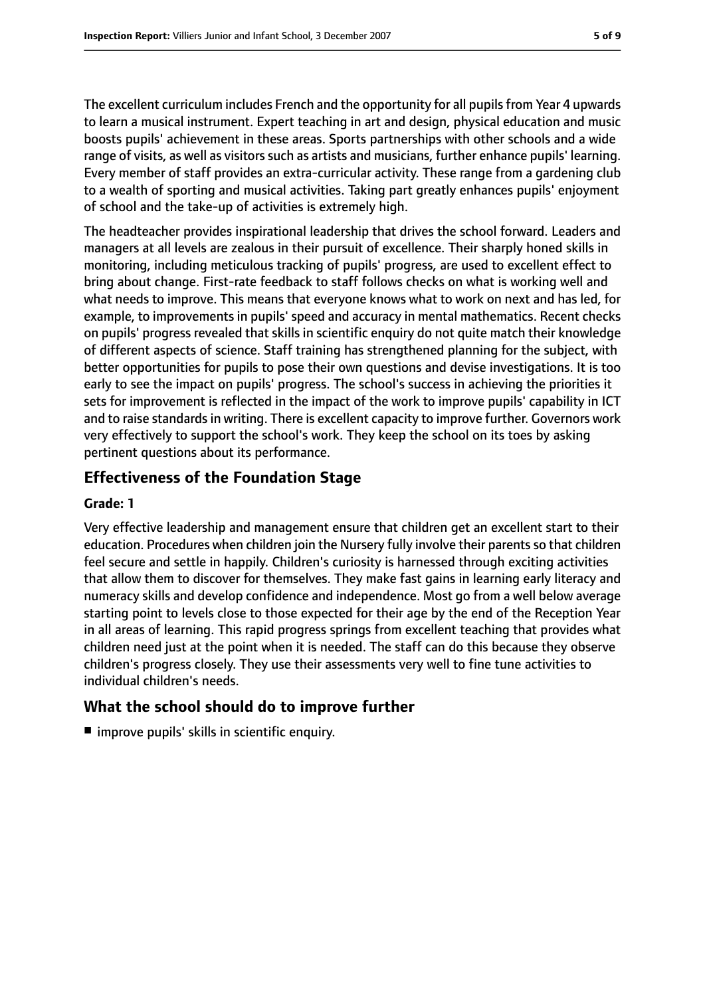The excellent curriculum includes French and the opportunity for all pupils from Year 4 upwards to learn a musical instrument. Expert teaching in art and design, physical education and music boosts pupils' achievement in these areas. Sports partnerships with other schools and a wide range of visits, as well as visitors such as artists and musicians, further enhance pupils' learning. Every member of staff provides an extra-curricular activity. These range from a gardening club to a wealth of sporting and musical activities. Taking part greatly enhances pupils' enjoyment of school and the take-up of activities is extremely high.

The headteacher provides inspirational leadership that drives the school forward. Leaders and managers at all levels are zealous in their pursuit of excellence. Their sharply honed skills in monitoring, including meticulous tracking of pupils' progress, are used to excellent effect to bring about change. First-rate feedback to staff follows checks on what is working well and what needs to improve. This means that everyone knows what to work on next and has led, for example, to improvements in pupils' speed and accuracy in mental mathematics. Recent checks on pupils' progress revealed that skills in scientific enquiry do not quite match their knowledge of different aspects of science. Staff training has strengthened planning for the subject, with better opportunities for pupils to pose their own questions and devise investigations. It is too early to see the impact on pupils' progress. The school's success in achieving the priorities it sets for improvement is reflected in the impact of the work to improve pupils' capability in ICT and to raise standards in writing. There is excellent capacity to improve further. Governors work very effectively to support the school's work. They keep the school on its toes by asking pertinent questions about its performance.

### **Effectiveness of the Foundation Stage**

#### **Grade: 1**

Very effective leadership and management ensure that children get an excellent start to their education. Procedures when children join the Nursery fully involve their parents so that children feel secure and settle in happily. Children's curiosity is harnessed through exciting activities that allow them to discover for themselves. They make fast gains in learning early literacy and numeracy skills and develop confidence and independence. Most go from a well below average starting point to levels close to those expected for their age by the end of the Reception Year in all areas of learning. This rapid progress springs from excellent teaching that provides what children need just at the point when it is needed. The staff can do this because they observe children's progress closely. They use their assessments very well to fine tune activities to individual children's needs.

### **What the school should do to improve further**

■ improve pupils' skills in scientific enquiry.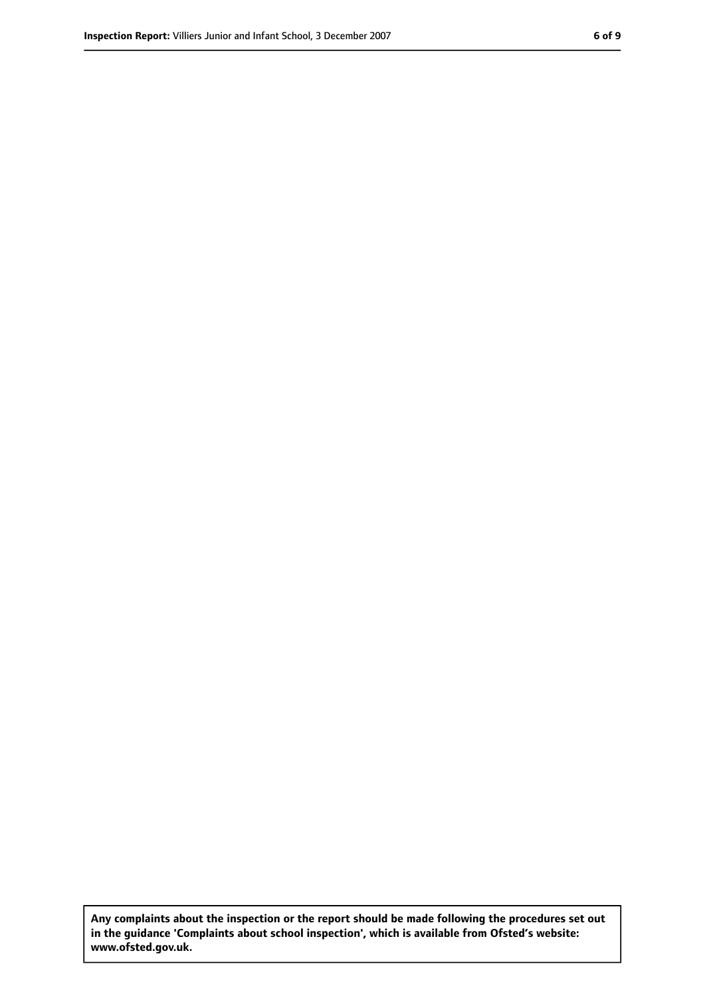**Any complaints about the inspection or the report should be made following the procedures set out in the guidance 'Complaints about school inspection', which is available from Ofsted's website: www.ofsted.gov.uk.**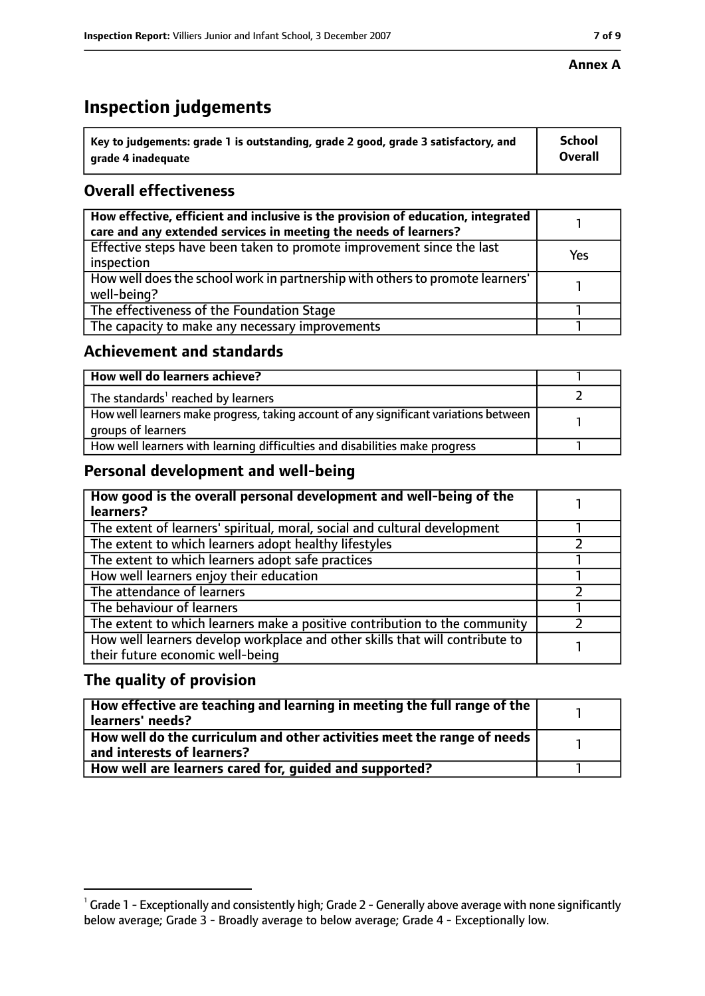# **Inspection judgements**

| $^{\backprime}$ Key to judgements: grade 1 is outstanding, grade 2 good, grade 3 satisfactory, and | <b>School</b>  |
|----------------------------------------------------------------------------------------------------|----------------|
| arade 4 inadequate                                                                                 | <b>Overall</b> |

# **Overall effectiveness**

| How effective, efficient and inclusive is the provision of education, integrated<br>care and any extended services in meeting the needs of learners? |     |
|------------------------------------------------------------------------------------------------------------------------------------------------------|-----|
| Effective steps have been taken to promote improvement since the last<br>inspection                                                                  | Yes |
| How well does the school work in partnership with others to promote learners'<br>well-being?                                                         |     |
| The effectiveness of the Foundation Stage                                                                                                            |     |
| The capacity to make any necessary improvements                                                                                                      |     |

### **Achievement and standards**

| How well do learners achieve?                                                                               |  |
|-------------------------------------------------------------------------------------------------------------|--|
| The standards <sup>1</sup> reached by learners                                                              |  |
| How well learners make progress, taking account of any significant variations between<br>groups of learners |  |
| How well learners with learning difficulties and disabilities make progress                                 |  |

# **Personal development and well-being**

| How good is the overall personal development and well-being of the<br>learners?                                  |  |
|------------------------------------------------------------------------------------------------------------------|--|
| The extent of learners' spiritual, moral, social and cultural development                                        |  |
| The extent to which learners adopt healthy lifestyles                                                            |  |
| The extent to which learners adopt safe practices                                                                |  |
| How well learners enjoy their education                                                                          |  |
| The attendance of learners                                                                                       |  |
| The behaviour of learners                                                                                        |  |
| The extent to which learners make a positive contribution to the community                                       |  |
| How well learners develop workplace and other skills that will contribute to<br>their future economic well-being |  |

# **The quality of provision**

| How effective are teaching and learning in meeting the full range of the<br>learners' needs?          |  |
|-------------------------------------------------------------------------------------------------------|--|
| How well do the curriculum and other activities meet the range of needs<br>and interests of learners? |  |
| How well are learners cared for, quided and supported?                                                |  |

 $^1$  Grade 1 - Exceptionally and consistently high; Grade 2 - Generally above average with none significantly below average; Grade 3 - Broadly average to below average; Grade 4 - Exceptionally low.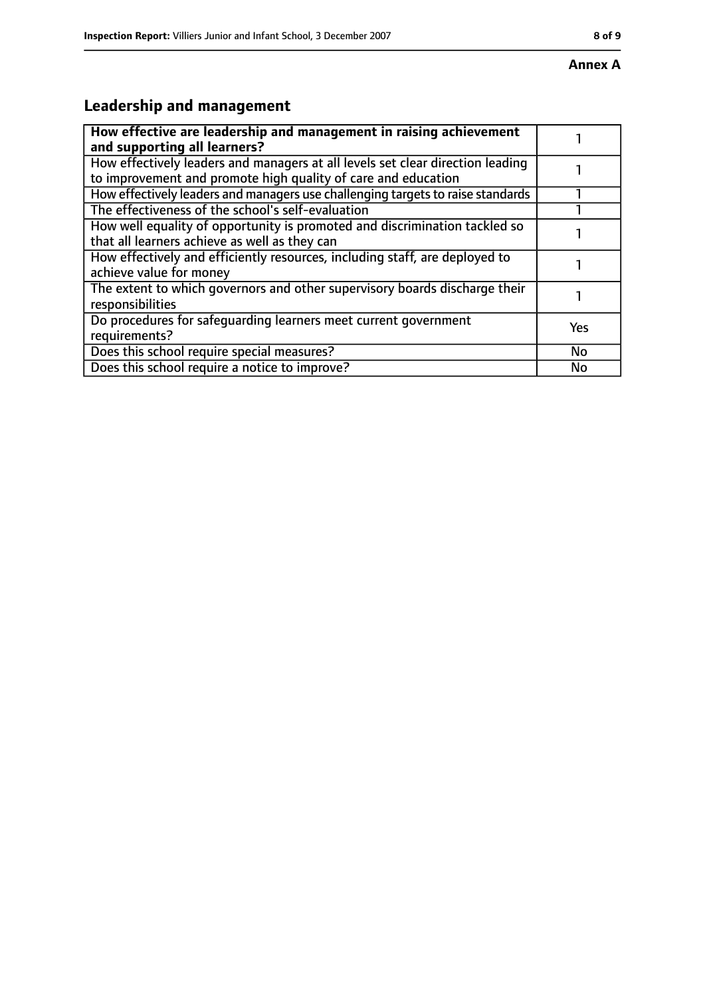#### **Annex A**

# **Leadership and management**

| How effective are leadership and management in raising achievement<br>and supporting all learners?                                              |     |
|-------------------------------------------------------------------------------------------------------------------------------------------------|-----|
| How effectively leaders and managers at all levels set clear direction leading<br>to improvement and promote high quality of care and education |     |
| How effectively leaders and managers use challenging targets to raise standards                                                                 |     |
| The effectiveness of the school's self-evaluation                                                                                               |     |
| How well equality of opportunity is promoted and discrimination tackled so<br>that all learners achieve as well as they can                     |     |
| How effectively and efficiently resources, including staff, are deployed to<br>achieve value for money                                          |     |
| The extent to which governors and other supervisory boards discharge their<br>responsibilities                                                  |     |
| Do procedures for safequarding learners meet current government<br>requirements?                                                                | Yes |
| Does this school require special measures?                                                                                                      | No  |
| Does this school require a notice to improve?                                                                                                   | No  |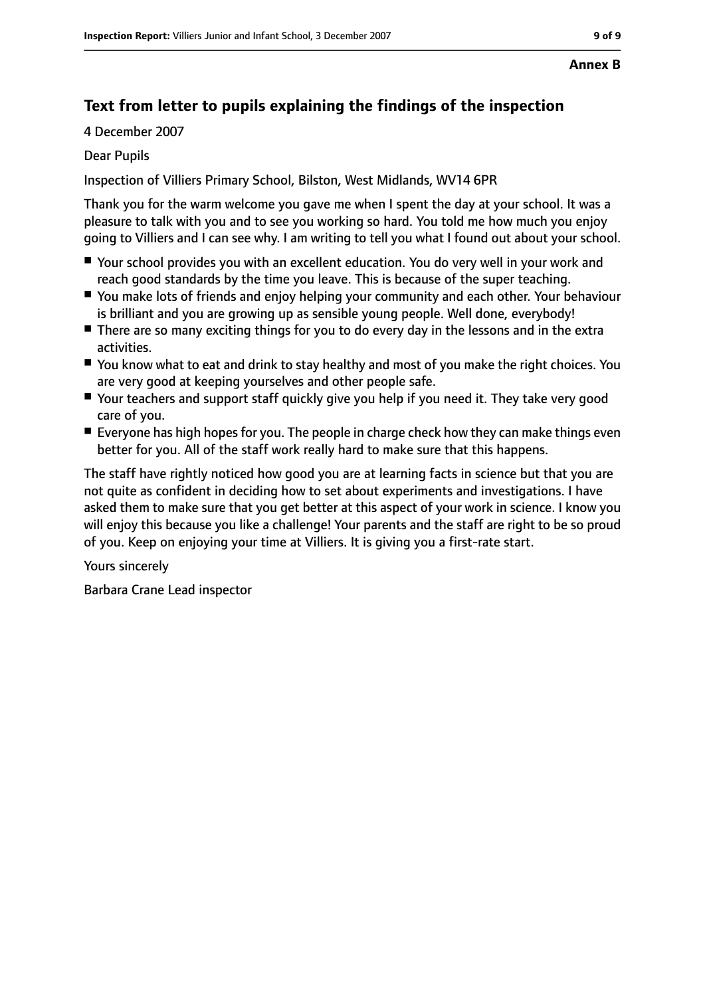# **Text from letter to pupils explaining the findings of the inspection**

4 December 2007

Dear Pupils

Inspection of Villiers Primary School, Bilston, West Midlands, WV14 6PR

Thank you for the warm welcome you gave me when I spent the day at your school. It was a pleasure to talk with you and to see you working so hard. You told me how much you enjoy going to Villiers and I can see why. I am writing to tell you what I found out about your school.

- Your school provides you with an excellent education. You do very well in your work and reach good standards by the time you leave. This is because of the super teaching.
- You make lots of friends and enjoy helping your community and each other. Your behaviour is brilliant and you are growing up as sensible young people. Well done, everybody!
- There are so many exciting things for you to do every day in the lessons and in the extra activities.
- You know what to eat and drink to stay healthy and most of you make the right choices. You are very good at keeping yourselves and other people safe.
- Your teachers and support staff quickly give you help if you need it. They take very good care of you.
- Everyone has high hopes for you. The people in charge check how they can make things even better for you. All of the staff work really hard to make sure that this happens.

The staff have rightly noticed how good you are at learning facts in science but that you are not quite as confident in deciding how to set about experiments and investigations. I have asked them to make sure that you get better at this aspect of your work in science. I know you will enjoy this because you like a challenge! Your parents and the staff are right to be so proud of you. Keep on enjoying your time at Villiers. It is giving you a first-rate start.

Yours sincerely

Barbara Crane Lead inspector